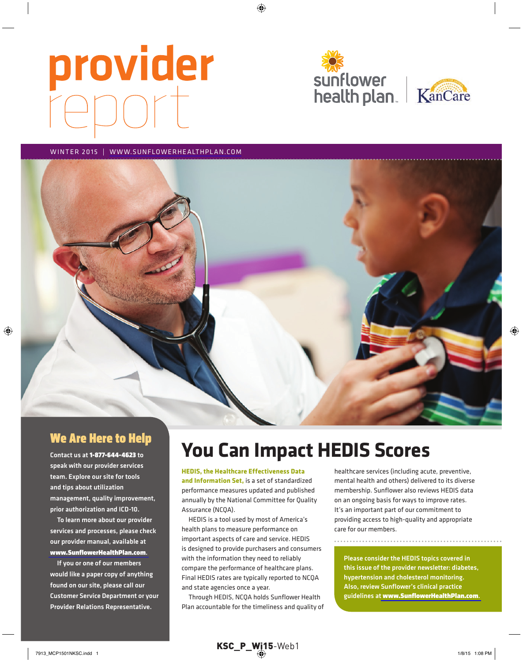# provider





#### WINTER 2015 | WWW.SUNFLOWERHEALTHPLAN.COM



#### We Are Here to Help

Contact us at 1-877-644-4623 to speak with our provider services team. Explore our site for tools and tips about utilization management, quality improvement, prior authorization and ICD-10.

To learn more about our provider services and processes, please check our provider manual, available at [www.SunflowerHealthPlan.com](http://www.sunflowerhealthplan.com).

If you or one of our members would like a paper copy of anything found on our site, please call our Customer Service Department or your Provider Relations Representative.

# **You Can Impact HEDIS Scores**

#### **HEDIS, the Healthcare Effectiveness Data**

**and Information Set,** is a set of standardized performance measures updated and published annually by the National Committee for Quality Assurance (NCQA).

HEDIS is a tool used by most of America's health plans to measure performance on important aspects of care and service. HEDIS is designed to provide purchasers and consumers with the information they need to reliably compare the performance of healthcare plans. Final HEDIS rates are typically reported to NCQA and state agencies once a year.

Through HEDIS, NCQA holds Sunflower Health Plan accountable for the timeliness and quality of healthcare services (including acute, preventive, mental health and others) delivered to its diverse membership. Sunflower also reviews HEDIS data on an ongoing basis for ways to improve rates. It's an important part of our commitment to providing access to high-quality and appropriate care for our members.

Please consider the HEDIS topics covered in this issue of the provider newsletter: diabetes, hypertension and cholesterol monitoring. Also, review Sunflower's clinical practice guidelines at [www.SunflowerHealthPlan.com](http://www.sunflowerhealthplan.com).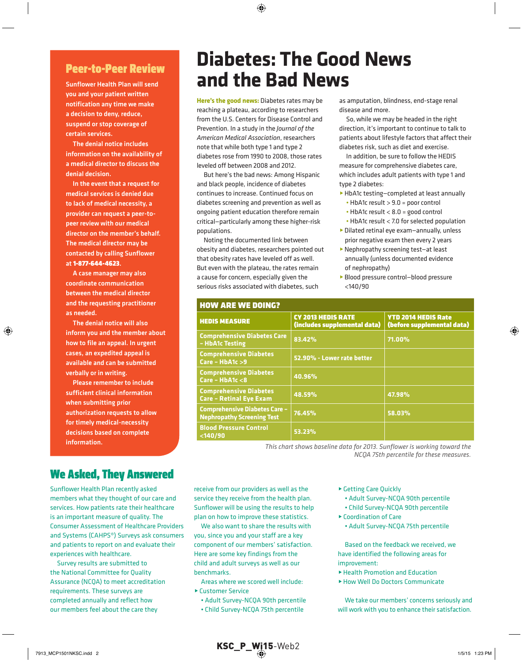#### Peer-to-Peer Review

Sunflower Health Plan will send you and your patient written notification any time we make a decision to deny, reduce, suspend or stop coverage of certain services.

The denial notice includes information on the availability of a medical director to discuss the denial decision.

In the event that a request for medical services is denied due to lack of medical necessity, a provider can request a peer-topeer review with our medical director on the member's behalf. The medical director may be contacted by calling Sunflower at 1-877-644-4623.

A case manager may also coordinate communication between the medical director and the requesting practitioner as needed.

The denial notice will also inform you and the member about how to file an appeal. In urgent cases, an expedited appeal is available and can be submitted verbally or in writing.

Please remember to include sufficient clinical information when submitting prior authorization requests to allow for timely medical-necessity decisions based on complete information.

#### We Asked, They Answered

Sunflower Health Plan recently asked members what they thought of our care and services. How patients rate their healthcare is an important measure of quality. The Consumer Assessment of Healthcare Providers and Systems (CAHPS®) Surveys ask consumers and patients to report on and evaluate their experiences with healthcare.

Survey results are submitted to the National Committee for Quality Assurance (NCQA) to meet accreditation requirements. These surveys are completed annually and reflect how our members feel about the care they

## **Diabetes: The Good News and the Bad News**

**Here's the good news:** Diabetes rates may be reaching a plateau, according to researchers from the U.S. Centers for Disease Control and Prevention. In a study in the *Journal of the American Medical Association*, researchers note that while both type 1 and type 2 diabetes rose from 1990 to 2008, those rates leveled off between 2008 and 2012.

But here's the bad news: Among Hispanic and black people, incidence of diabetes continues to increase. Continued focus on diabetes screening and prevention as well as ongoing patient education therefore remain critical—particularly among these higher-risk populations.

Noting the documented link between obesity and diabetes, researchers pointed out that obesity rates have leveled off as well. But even with the plateau, the rates remain a cause for concern, especially given the serious risks associated with diabetes, such

How are we doing?

as amputation, blindness, end-stage renal disease and more.

So, while we may be headed in the right direction, it's important to continue to talk to patients about lifestyle factors that affect their diabetes risk, such as diet and exercise.

In addition, be sure to follow the HEDIS measure for comprehensive diabetes care, which includes adult patients with type 1 and type 2 diabetes:

- ▶ HbA1c testing-completed at least annually
	- HbA1c result > 9.0 = poor control
	- HbA1c result < 8.0 = good control
	- HbA1c result < 7.0 for selected population
- ▶ Dilated retinal eye exam-annually, unless prior negative exam then every 2 years
- ▶ Nephropathy screening test-at least annually (unless documented evidence of nephropathy)
- **Blood pressure control-blood pressure** <140/90

| NUW ARE WE DUNUM                                                          |                                                           |                                                          |  |  |
|---------------------------------------------------------------------------|-----------------------------------------------------------|----------------------------------------------------------|--|--|
| <b>HEDIS MEASURE</b>                                                      | <b>CY 2013 HEDIS RATE</b><br>(includes supplemental data) | <b>YTD 2014 HEDIS Rate</b><br>(before supplemental data) |  |  |
| <b>Comprehensive Diabetes Care</b><br>- HbA1c Testing                     | 83.42%                                                    | 71.00%                                                   |  |  |
| <b>Comprehensive Diabetes</b><br>$Care - HbA1c > 9$                       | 52.90% - Lower rate better                                |                                                          |  |  |
| <b>Comprehensive Diabetes</b><br>Care - $HbA1c < 8$                       | 40.96%                                                    |                                                          |  |  |
| <b>Comprehensive Diabetes</b><br><b>Care - Retinal Eye Exam</b>           | 48.59%                                                    | 47.98%                                                   |  |  |
| <b>Comprehensive Diabetes Care -</b><br><b>Nephropathy Screening Test</b> | 76.45%                                                    | 58.03%                                                   |  |  |
| <b>Blood Pressure Control</b><br>$140/90$                                 | 53.23%                                                    |                                                          |  |  |

*This chart shows baseline data for 2013. Sunflower is working toward the NCQA 75th percentile for these measures.*

receive from our providers as well as the service they receive from the health plan. Sunflower will be using the results to help plan on how to improve these statistics.

We also want to share the results with vou, since you and your staff are a key component of our members' satisfaction. Here are some key findings from the child and adult surveys as well as our henchmarks

- Areas where we scored well include:
- ► Customer Service
	- Adult Survey-NCQA 90th percentile
	- Child Survey-NCQA 75th percentile
- ► Getting Care Quickly
	- Adult Survey-NCQA 90th percentile
	- Child Survey-NCQA 90th percentile
- ▶ Coordination of Care
- Adult Survey-NCQA 75th percentile

Based on the feedback we received, we have identified the following areas for improvement:

- ▶ Health Promotion and Education
- ▶ How Well Do Doctors Communicate

We take our members' concerns seriously and will work with you to enhance their satisfaction.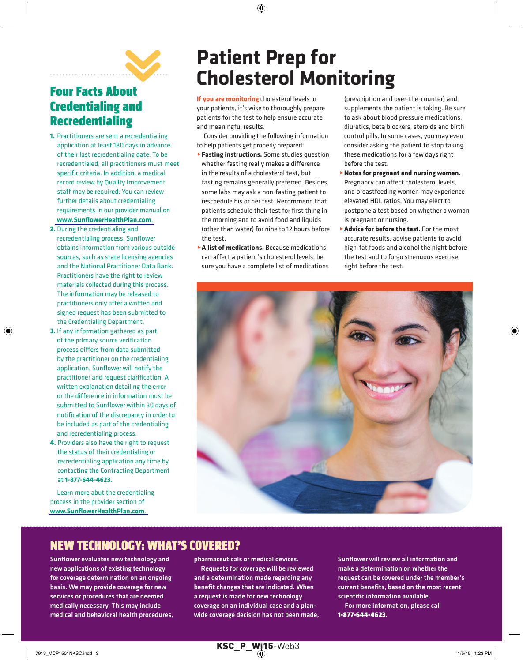

#### Four Facts About credentialing and Recredentialing

- **1.** Practitioners are sent a recredentialing application at least 180 days in advance of their last recredentialing date. To be recredentialed, all practitioners must meet specific criteria. In addition, a medical record review by Quality Improvement staff may be required. You can review further details about credentialing requirements in our provider manual on **[www.SunflowerHealthPlan.com](http://www.sunflowerhealthplan.com)**
- **2.** During the credentialing and recredentialing process, Sunflower obtains information from various outside sources, such as state licensing agencies and the National Practitioner Data Bank. Practitioners have the right to review materials collected during this process. The information may be released to practitioners only after a written and signed request has been submitted to the Credentialing Department.
- **3.** If any information gathered as part of the primary source verification process differs from data submitted by the practitioner on the credentialing application, Sunflower will notify the practitioner and request clarification. A written explanation detailing the error or the difference in information must be submitted to Sunflower within 30 days of notification of the discrepancy in order to be included as part of the credentialing and recredentialing process.
- **4.** Providers also have the right to request the status of their credentialing or recredentialing application any time by contacting the Contracting Department at **1-877-644-4623**.

Learn more abut the credentialing process in the provider section of www.SunflowerHealthPlan.com.

# **Patient Prep for Cholesterol Monitoring**

**If you are monitoring** cholesterol levels in your patients, it's wise to thoroughly prepare patients for the test to help ensure accurate and meaningful results.

Consider providing the following information to help patients get properly prepared:

- **Fasting instructions.** Some studies question whether fasting really makes a difference in the results of a cholesterol test, but fasting remains generally preferred. Besides, some labs may ask a non-fasting patient to reschedule his or her test. Recommend that patients schedule their test for first thing in the morning and to avoid food and liquids (other than water) for nine to 12 hours before the test.
- **A list of medications.** Because medications can affect a patient's cholesterol levels, be sure you have a complete list of medications

(prescription and over-the-counter) and supplements the patient is taking. Be sure to ask about blood pressure medications, diuretics, beta blockers, steroids and birth control pills. In some cases, you may even consider asking the patient to stop taking these medications for a few days right before the test.

- @**Notes for pregnant and nursing women.**  Pregnancy can affect cholesterol levels, and breastfeeding women may experience elevated HDl ratios. You may elect to postpone a test based on whether a woman is pregnant or nursing.
- **Advice for before the test.** For the most accurate results, advise patients to avoid high-fat foods and alcohol the night before the test and to forgo strenuous exercise right before the test.



## NeW TecHNology: WHAT's coveRed?

Sunflower evaluates new technology and new applications of existing technology for coverage determination on an ongoing basis. We may provide coverage for new services or procedures that are deemed medically necessary. This may include medical and behavioral health procedures, pharmaceuticals or medical devices.

Requests for coverage will be reviewed and a determination made regarding any benefit changes that are indicated. When a request is made for new technology coverage on an individual case and a planwide coverage decision has not been made, Sunflower will review all information and make a determination on whether the request can be covered under the member's current benefits, based on the most recent scientific information available.

For more information, please call 1-877-644-4623.